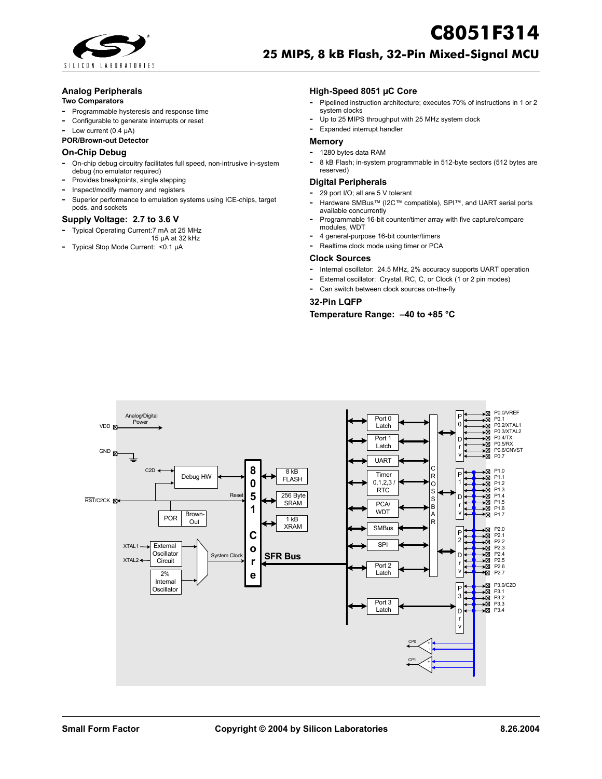

# **C8051F314 25 MIPS, 8 kB Flash, 32-Pin Mixed-Signal MCU**

#### **Analog Peripherals**

#### **Two Comparators**

- **-** Programmable hysteresis and response time
- **-** Configurable to generate interrupts or reset
- **-** Low current (0.4 µA)
- **POR/Brown-out Detector**

### **On-Chip Debug**

- **-** On-chip debug circuitry facilitates full speed, non-intrusive in-system debug (no emulator required)
- **-** Provides breakpoints, single stepping
- **-** Inspect/modify memory and registers
- **-** Superior performance to emulation systems using ICE-chips, target pods, and sockets

#### **Supply Voltage: 2.7 to 3.6 V**

- **-** Typical Operating Current:7 mA at 25 MHz
- 15 µA at 32 kHz **-** Typical Stop Mode Current: <0.1 µA

#### **High-Speed 8051 µC Core**

- **-** Pipelined instruction architecture; executes 70% of instructions in 1 or 2 system clocks
- **-** Up to 25 MIPS throughput with 25 MHz system clock **-** Expanded interrupt handler

## **Memory**

- **-** 1280 bytes data RAM
- **-** <sup>8</sup> kB Flash; in-system programmable in 512-byte sectors (512 bytes are reserved)

#### **Digital Peripherals**

- **-** 29 port I/O; all are 5 V tolerant
- **-** Hardware SMBus™ (I2C™ compatible), SPI™, and UART serial ports available concurrently
- **-** Programmable 16-bit counter/timer array with five capture/compare modules, WDT
- **-** 4 general-purpose 16-bit counter/timers
- **-** Realtime clock mode using timer or PCA

#### **Clock Sources**

- **-** Internal oscillator: 24.5 MHz, 2% accuracy supports UART operation
- **-** External oscillator: Crystal, RC, C, or Clock (1 or 2 pin modes)
- **-** Can switch between clock sources on-the-fly

#### **32-Pin LQFP**

### **Temperature Range: –40 to +85 °C**